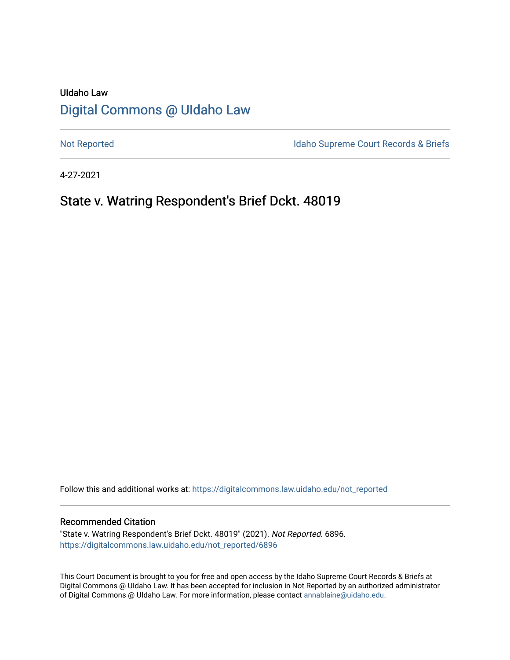## UIdaho Law [Digital Commons @ UIdaho Law](https://digitalcommons.law.uidaho.edu/)

[Not Reported](https://digitalcommons.law.uidaho.edu/not_reported) **Idaho Supreme Court Records & Briefs** 

4-27-2021

## State v. Watring Respondent's Brief Dckt. 48019

Follow this and additional works at: [https://digitalcommons.law.uidaho.edu/not\\_reported](https://digitalcommons.law.uidaho.edu/not_reported?utm_source=digitalcommons.law.uidaho.edu%2Fnot_reported%2F6896&utm_medium=PDF&utm_campaign=PDFCoverPages) 

#### Recommended Citation

"State v. Watring Respondent's Brief Dckt. 48019" (2021). Not Reported. 6896. [https://digitalcommons.law.uidaho.edu/not\\_reported/6896](https://digitalcommons.law.uidaho.edu/not_reported/6896?utm_source=digitalcommons.law.uidaho.edu%2Fnot_reported%2F6896&utm_medium=PDF&utm_campaign=PDFCoverPages)

This Court Document is brought to you for free and open access by the Idaho Supreme Court Records & Briefs at Digital Commons @ UIdaho Law. It has been accepted for inclusion in Not Reported by an authorized administrator of Digital Commons @ UIdaho Law. For more information, please contact [annablaine@uidaho.edu](mailto:annablaine@uidaho.edu).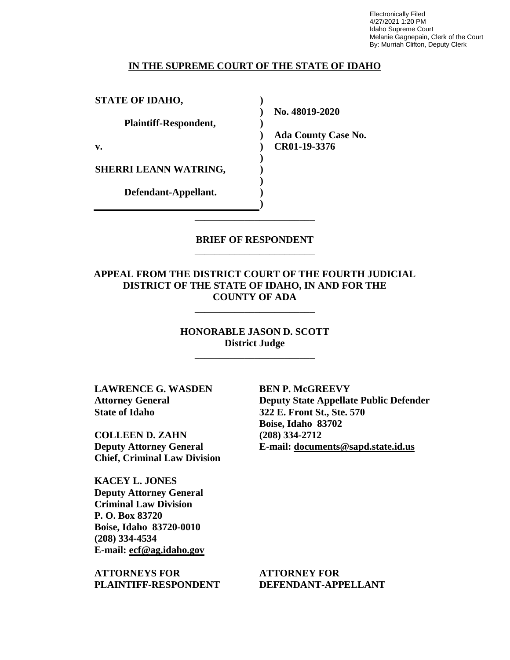Electronically Filed 4/27/2021 1:20 PM Idaho Supreme Court Melanie Gagnepain, Clerk of the Court By: Murriah Clifton, Deputy Clerk

#### **IN THE SUPREME COURT OF THE STATE OF IDAHO**

**) ) ) ) ) ) ) ) ) )**

**STATE OF IDAHO,**

**Plaintiff-Respondent,**

**v.** 

**SHERRI LEANN WATRING,** 

**Defendant-Appellant.**

**No. 48019-2020** 

**Ada County Case No. CR01-19-3376** 

### **BRIEF OF RESPONDENT** \_\_\_\_\_\_\_\_\_\_\_\_\_\_\_\_\_\_\_\_\_\_\_\_

\_\_\_\_\_\_\_\_\_\_\_\_\_\_\_\_\_\_\_\_\_\_\_\_

**APPEAL FROM THE DISTRICT COURT OF THE FOURTH JUDICIAL DISTRICT OF THE STATE OF IDAHO, IN AND FOR THE COUNTY OF ADA**

\_\_\_\_\_\_\_\_\_\_\_\_\_\_\_\_\_\_\_\_\_\_\_\_

**HONORABLE JASON D. SCOTT District Judge**

\_\_\_\_\_\_\_\_\_\_\_\_\_\_\_\_\_\_\_\_\_\_\_\_

**LAWRENCE G. WASDEN Attorney General State of Idaho**

**COLLEEN D. ZAHN Deputy Attorney General Chief, Criminal Law Division**

**KACEY L. JONES Deputy Attorney General Criminal Law Division P. O. Box 83720 Boise, Idaho 83720-0010 (208) 334-4534 E-mail: ecf@ag.idaho.gov** 

**ATTORNEYS FOR PLAINTIFF-RESPONDENT** **BEN P. McGREEVY Deputy State Appellate Public Defender 322 E. Front St., Ste. 570 Boise, Idaho 83702 (208) 334-2712 E-mail: documents@sapd.state.id.us** 

**ATTORNEY FOR DEFENDANT-APPELLANT**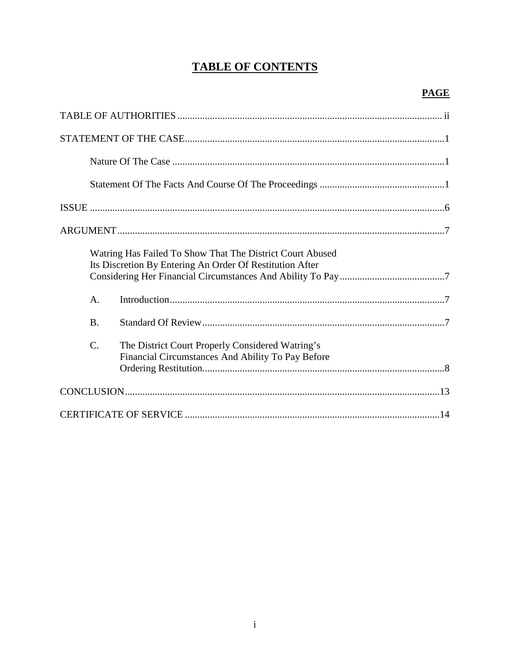# **TABLE OF CONTENTS**

|                 | Watring Has Failed To Show That The District Court Abused<br>Its Discretion By Entering An Order Of Restitution After |
|-----------------|-----------------------------------------------------------------------------------------------------------------------|
| $\mathsf{A}$ .  |                                                                                                                       |
| <b>B.</b>       |                                                                                                                       |
| $\mathcal{C}$ . | The District Court Properly Considered Watring's<br>Financial Circumstances And Ability To Pay Before                 |
|                 |                                                                                                                       |
|                 |                                                                                                                       |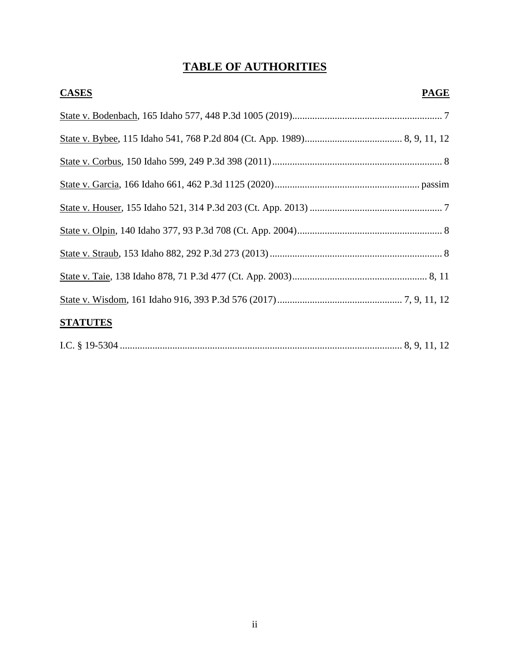# **TABLE OF AUTHORITIES**

| <b>CASES</b><br><b>PAGE</b> |  |
|-----------------------------|--|
|                             |  |
|                             |  |
|                             |  |
|                             |  |
|                             |  |
|                             |  |
|                             |  |
|                             |  |
|                             |  |
|                             |  |

## **STATUTES**

|--|--|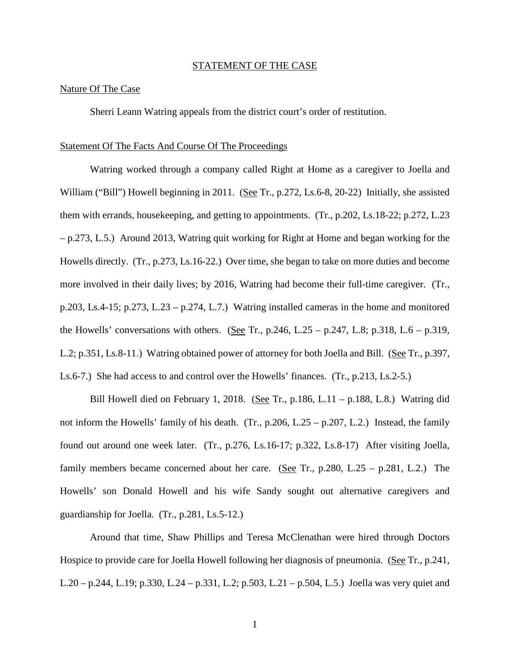#### STATEMENT OF THE CASE

#### Nature Of The Case

Sherri Leann Watring appeals from the district court's order of restitution.

#### Statement Of The Facts And Course Of The Proceedings

Watring worked through a company called Right at Home as a caregiver to Joella and William ("Bill") Howell beginning in 2011. (See Tr., p.272, Ls.6-8, 20-22) Initially, she assisted them with errands, housekeeping, and getting to appointments. (Tr., p.202, Ls.18-22; p.272, L.23 – p.273, L.5.) Around 2013, Watring quit working for Right at Home and began working for the Howells directly. (Tr., p.273, Ls.16-22.) Over time, she began to take on more duties and become more involved in their daily lives; by 2016, Watring had become their full-time caregiver. (Tr., p.203, Ls.4-15; p.273, L.23 – p.274, L.7.) Watring installed cameras in the home and monitored the Howells' conversations with others. (See Tr.,  $p.246$ , L.25 –  $p.247$ , L.8;  $p.318$ , L.6 –  $p.319$ , L.2; p.351, Ls.8-11.) Watring obtained power of attorney for both Joella and Bill. (See Tr., p.397, Ls.6-7.) She had access to and control over the Howells' finances. (Tr., p.213, Ls.2-5.)

Bill Howell died on February 1, 2018. (See Tr., p.186, L.11 – p.188, L.8.) Watring did not inform the Howells' family of his death. (Tr., p.206, L.25 – p.207, L.2.) Instead, the family found out around one week later. (Tr., p.276, Ls.16-17; p.322, Ls.8-17) After visiting Joella, family members became concerned about her care. (See Tr.,  $p.280$ , L.25 –  $p.281$ , L.2.) The Howells' son Donald Howell and his wife Sandy sought out alternative caregivers and guardianship for Joella. (Tr., p.281, Ls.5-12.)

Around that time, Shaw Phillips and Teresa McClenathan were hired through Doctors Hospice to provide care for Joella Howell following her diagnosis of pneumonia. (See Tr., p.241, L.20 – p.244, L.19; p.330, L.24 – p.331, L.2; p.503, L.21 – p.504, L.5.) Joella was very quiet and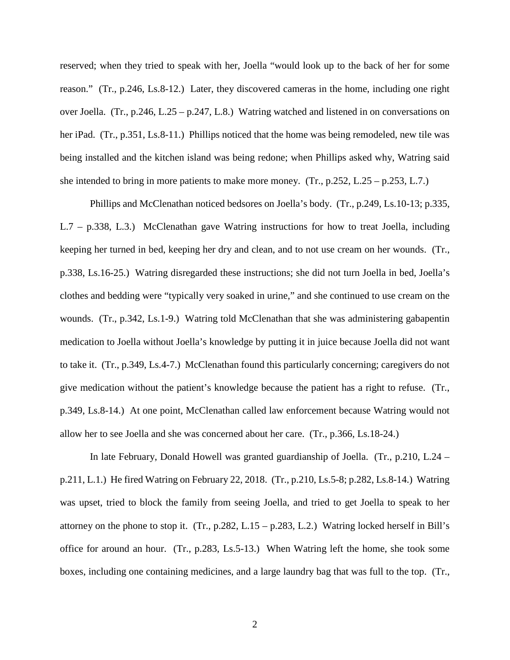reserved; when they tried to speak with her, Joella "would look up to the back of her for some reason." (Tr., p.246, Ls.8-12.) Later, they discovered cameras in the home, including one right over Joella. (Tr., p.246, L.25 – p.247, L.8.) Watring watched and listened in on conversations on her iPad. (Tr., p.351, Ls.8-11.) Phillips noticed that the home was being remodeled, new tile was being installed and the kitchen island was being redone; when Phillips asked why, Watring said she intended to bring in more patients to make more money.  $(Tr, p.252, L.25 - p.253, L.7.)$ 

Phillips and McClenathan noticed bedsores on Joella's body. (Tr., p.249, Ls.10-13; p.335, L.7 – p.338, L.3.) McClenathan gave Watring instructions for how to treat Joella, including keeping her turned in bed, keeping her dry and clean, and to not use cream on her wounds. (Tr., p.338, Ls.16-25.) Watring disregarded these instructions; she did not turn Joella in bed, Joella's clothes and bedding were "typically very soaked in urine," and she continued to use cream on the wounds. (Tr., p.342, Ls.1-9.) Watring told McClenathan that she was administering gabapentin medication to Joella without Joella's knowledge by putting it in juice because Joella did not want to take it. (Tr., p.349, Ls.4-7.) McClenathan found this particularly concerning; caregivers do not give medication without the patient's knowledge because the patient has a right to refuse. (Tr., p.349, Ls.8-14.) At one point, McClenathan called law enforcement because Watring would not allow her to see Joella and she was concerned about her care. (Tr., p.366, Ls.18-24.)

In late February, Donald Howell was granted guardianship of Joella. (Tr., p.210, L.24 – p.211, L.1.) He fired Watring on February 22, 2018. (Tr., p.210, Ls.5-8; p.282, Ls.8-14.) Watring was upset, tried to block the family from seeing Joella, and tried to get Joella to speak to her attorney on the phone to stop it. (Tr., p.282, L.15 – p.283, L.2.) Watring locked herself in Bill's office for around an hour. (Tr., p.283, Ls.5-13.) When Watring left the home, she took some boxes, including one containing medicines, and a large laundry bag that was full to the top. (Tr.,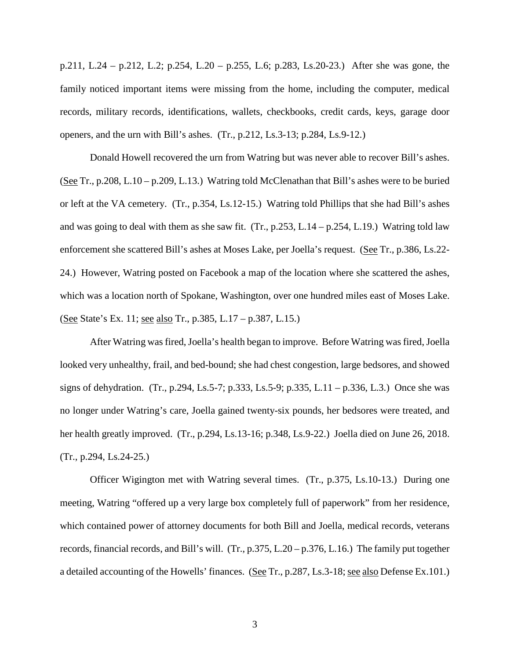p.211, L.24 – p.212, L.2; p.254, L.20 – p.255, L.6; p.283, Ls.20-23.) After she was gone, the family noticed important items were missing from the home, including the computer, medical records, military records, identifications, wallets, checkbooks, credit cards, keys, garage door openers, and the urn with Bill's ashes. (Tr., p.212, Ls.3-13; p.284, Ls.9-12.)

Donald Howell recovered the urn from Watring but was never able to recover Bill's ashes. (See Tr., p.208, L.10 – p.209, L.13.) Watring told McClenathan that Bill's ashes were to be buried or left at the VA cemetery. (Tr., p.354, Ls.12-15.) Watring told Phillips that she had Bill's ashes and was going to deal with them as she saw fit. (Tr.,  $p.253$ , L.14 –  $p.254$ , L.19.) Watring told law enforcement she scattered Bill's ashes at Moses Lake, per Joella's request. (See Tr., p.386, Ls.22- 24.) However, Watring posted on Facebook a map of the location where she scattered the ashes, which was a location north of Spokane, Washington, over one hundred miles east of Moses Lake. (See State's Ex. 11; see also Tr., p.385, L.17 – p.387, L.15.)

After Watring was fired, Joella's health began to improve. Before Watring was fired, Joella looked very unhealthy, frail, and bed-bound; she had chest congestion, large bedsores, and showed signs of dehydration. (Tr., p.294, Ls.5-7; p.333, Ls.5-9; p.335, L.11 – p.336, L.3.) Once she was no longer under Watring's care, Joella gained twenty-six pounds, her bedsores were treated, and her health greatly improved. (Tr., p.294, Ls.13-16; p.348, Ls.9-22.) Joella died on June 26, 2018. (Tr., p.294, Ls.24-25.)

Officer Wigington met with Watring several times. (Tr., p.375, Ls.10-13.) During one meeting, Watring "offered up a very large box completely full of paperwork" from her residence, which contained power of attorney documents for both Bill and Joella, medical records, veterans records, financial records, and Bill's will. (Tr., p.375, L.20 – p.376, L.16.) The family put together a detailed accounting of the Howells' finances. (See Tr., p.287, Ls.3-18; see also Defense Ex.101.)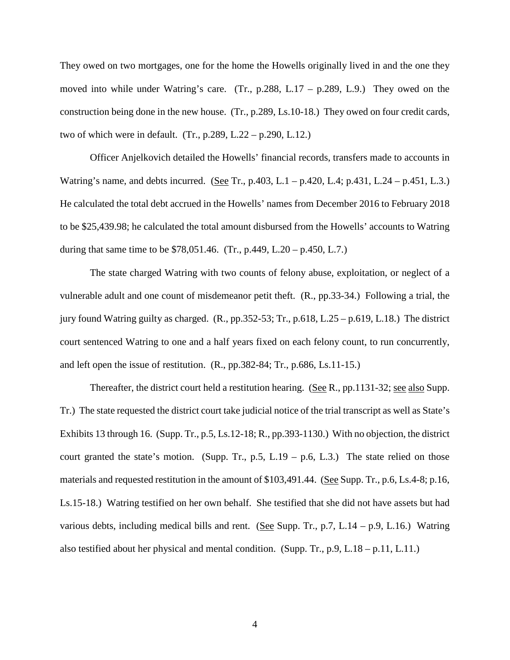They owed on two mortgages, one for the home the Howells originally lived in and the one they moved into while under Watring's care. (Tr., p.288, L.17 – p.289, L.9.) They owed on the construction being done in the new house. (Tr., p.289, Ls.10-18.) They owed on four credit cards, two of which were in default. (Tr., p.289, L.22 – p.290, L.12.)

Officer Anjelkovich detailed the Howells' financial records, transfers made to accounts in Watring's name, and debts incurred. (See Tr., p.403, L.1 – p.420, L.4; p.431, L.24 – p.451, L.3.) He calculated the total debt accrued in the Howells' names from December 2016 to February 2018 to be \$25,439.98; he calculated the total amount disbursed from the Howells' accounts to Watring during that same time to be  $$78,051.46$ . (Tr., p.449, L.20 – p.450, L.7.)

The state charged Watring with two counts of felony abuse, exploitation, or neglect of a vulnerable adult and one count of misdemeanor petit theft. (R., pp.33-34.) Following a trial, the jury found Watring guilty as charged. (R., pp.352-53; Tr., p.618, L.25 – p.619, L.18.) The district court sentenced Watring to one and a half years fixed on each felony count, to run concurrently, and left open the issue of restitution. (R., pp.382-84; Tr., p.686, Ls.11-15.)

Thereafter, the district court held a restitution hearing. (See R., pp.1131-32; see also Supp. Tr.) The state requested the district court take judicial notice of the trial transcript as well as State's Exhibits 13 through 16. (Supp. Tr., p.5, Ls.12-18; R., pp.393-1130.) With no objection, the district court granted the state's motion. (Supp. Tr., p.5, L.19 – p.6, L.3.) The state relied on those materials and requested restitution in the amount of \$103,491.44. (See Supp. Tr., p.6, Ls.4-8; p.16, Ls.15-18.) Watring testified on her own behalf. She testified that she did not have assets but had various debts, including medical bills and rent. (See Supp. Tr., p.7, L.14 – p.9, L.16.) Watring also testified about her physical and mental condition. (Supp. Tr., p.9, L.18 – p.11, L.11.)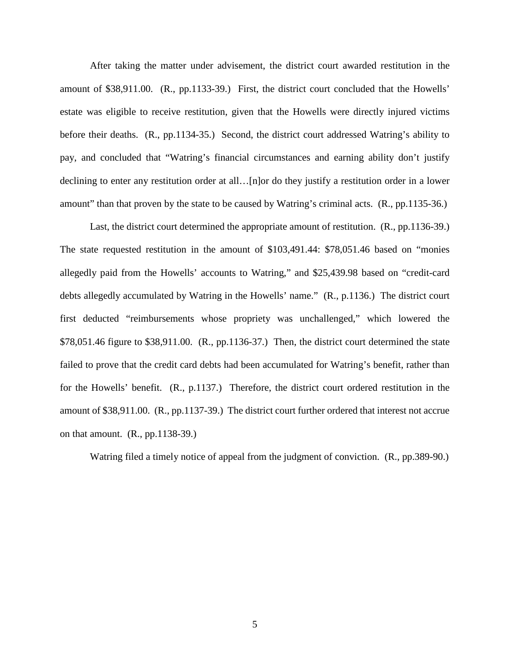After taking the matter under advisement, the district court awarded restitution in the amount of \$38,911.00. (R., pp.1133-39.) First, the district court concluded that the Howells' estate was eligible to receive restitution, given that the Howells were directly injured victims before their deaths. (R., pp.1134-35.) Second, the district court addressed Watring's ability to pay, and concluded that "Watring's financial circumstances and earning ability don't justify declining to enter any restitution order at all…[n]or do they justify a restitution order in a lower amount" than that proven by the state to be caused by Watring's criminal acts. (R., pp.1135-36.)

Last, the district court determined the appropriate amount of restitution. (R., pp.1136-39.) The state requested restitution in the amount of \$103,491.44: \$78,051.46 based on "monies allegedly paid from the Howells' accounts to Watring," and \$25,439.98 based on "credit-card debts allegedly accumulated by Watring in the Howells' name." (R., p.1136.) The district court first deducted "reimbursements whose propriety was unchallenged," which lowered the \$78,051.46 figure to \$38,911.00. (R., pp.1136-37.) Then, the district court determined the state failed to prove that the credit card debts had been accumulated for Watring's benefit, rather than for the Howells' benefit. (R., p.1137.) Therefore, the district court ordered restitution in the amount of \$38,911.00. (R., pp.1137-39.) The district court further ordered that interest not accrue on that amount. (R., pp.1138-39.)

Watring filed a timely notice of appeal from the judgment of conviction. (R., pp.389-90.)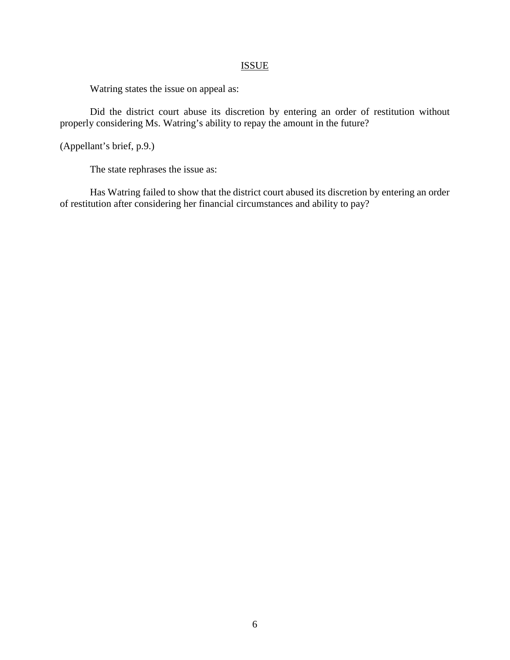## **ISSUE**

Watring states the issue on appeal as:

Did the district court abuse its discretion by entering an order of restitution without properly considering Ms. Watring's ability to repay the amount in the future?

(Appellant's brief, p.9.)

The state rephrases the issue as:

Has Watring failed to show that the district court abused its discretion by entering an order of restitution after considering her financial circumstances and ability to pay?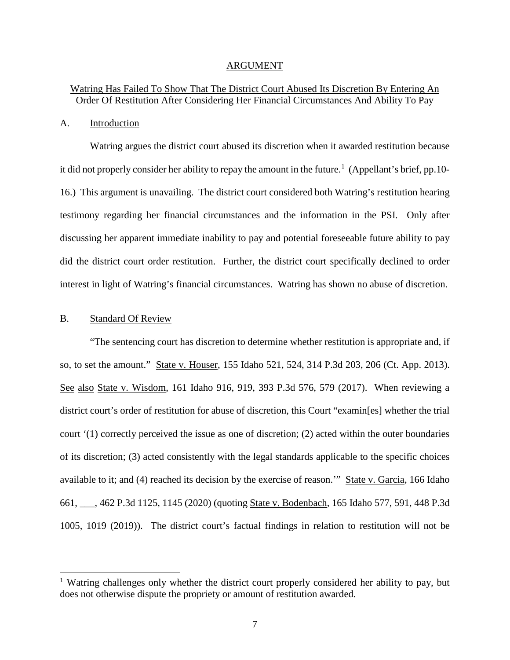#### ARGUMENT

## Watring Has Failed To Show That The District Court Abused Its Discretion By Entering An Order Of Restitution After Considering Her Financial Circumstances And Ability To Pay

#### A. Introduction

Watring argues the district court abused its discretion when it awarded restitution because it did not properly consider her ability to repay the amount in the future.<sup>[1](#page-10-0)</sup> (Appellant's brief, pp.10-16.) This argument is unavailing. The district court considered both Watring's restitution hearing testimony regarding her financial circumstances and the information in the PSI. Only after discussing her apparent immediate inability to pay and potential foreseeable future ability to pay did the district court order restitution. Further, the district court specifically declined to order interest in light of Watring's financial circumstances. Watring has shown no abuse of discretion.

### B. Standard Of Review

 $\overline{a}$ 

"The sentencing court has discretion to determine whether restitution is appropriate and, if so, to set the amount." State v. Houser, 155 Idaho 521, 524, 314 P.3d 203, 206 (Ct. App. 2013). See also State v. Wisdom, 161 Idaho 916, 919, 393 P.3d 576, 579 (2017). When reviewing a district court's order of restitution for abuse of discretion, this Court "examin[es] whether the trial court '(1) correctly perceived the issue as one of discretion; (2) acted within the outer boundaries of its discretion; (3) acted consistently with the legal standards applicable to the specific choices available to it; and (4) reached its decision by the exercise of reason.'" State v. Garcia, 166 Idaho 661, \_\_\_, 462 P.3d 1125, 1145 (2020) (quoting State v. Bodenbach, 165 Idaho 577, 591, 448 P.3d 1005, 1019 (2019)). The district court's factual findings in relation to restitution will not be

<span id="page-10-0"></span><sup>&</sup>lt;sup>1</sup> Watring challenges only whether the district court properly considered her ability to pay, but does not otherwise dispute the propriety or amount of restitution awarded.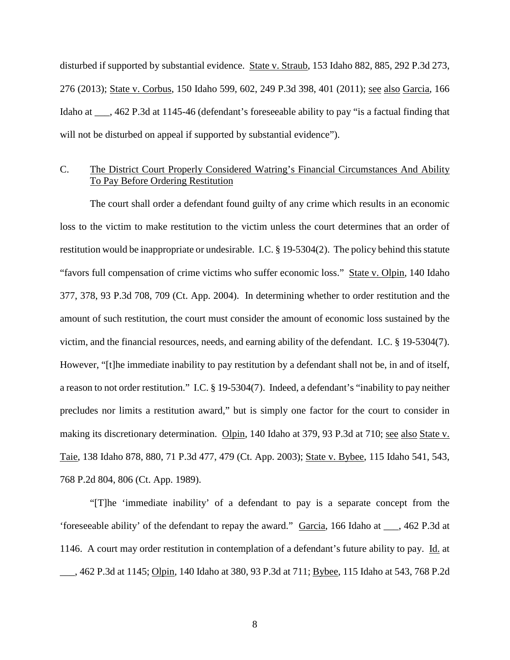disturbed if supported by substantial evidence. State v. Straub, 153 Idaho 882, 885, 292 P.3d 273, 276 (2013); <u>State v. Corbus</u>, 150 Idaho 599, 602, 249 P.3d 398, 401 (2011); <u>see also Garcia,</u> 166 Idaho at  $\ldots$ , 462 P.3d at 1145-46 (defendant's foreseeable ability to pay "is a factual finding that will not be disturbed on appeal if supported by substantial evidence").

### C. The District Court Properly Considered Watring's Financial Circumstances And Ability To Pay Before Ordering Restitution

The court shall order a defendant found guilty of any crime which results in an economic loss to the victim to make restitution to the victim unless the court determines that an order of restitution would be inappropriate or undesirable. I.C. § 19-5304(2). The policy behind this statute "favors full compensation of crime victims who suffer economic loss." State v. Olpin, 140 Idaho 377, 378, 93 P.3d 708, 709 (Ct. App. 2004). In determining whether to order restitution and the amount of such restitution, the court must consider the amount of economic loss sustained by the victim, and the financial resources, needs, and earning ability of the defendant. I.C. § 19-5304(7). However, "[t]he immediate inability to pay restitution by a defendant shall not be, in and of itself, a reason to not order restitution." I.C. § 19-5304(7). Indeed, a defendant's "inability to pay neither precludes nor limits a restitution award," but is simply one factor for the court to consider in making its discretionary determination. Olpin, 140 Idaho at 379, 93 P.3d at 710; see also State v. Taie, 138 Idaho 878, 880, 71 P.3d 477, 479 (Ct. App. 2003); State v. Bybee, 115 Idaho 541, 543, 768 P.2d 804, 806 (Ct. App. 1989).

"[T]he 'immediate inability' of a defendant to pay is a separate concept from the 'foreseeable ability' of the defendant to repay the award." Garcia, 166 Idaho at \_\_\_, 462 P.3d at 1146. A court may order restitution in contemplation of a defendant's future ability to pay. Id. at \_\_\_, 462 P.3d at 1145; Olpin, 140 Idaho at 380, 93 P.3d at 711; Bybee, 115 Idaho at 543, 768 P.2d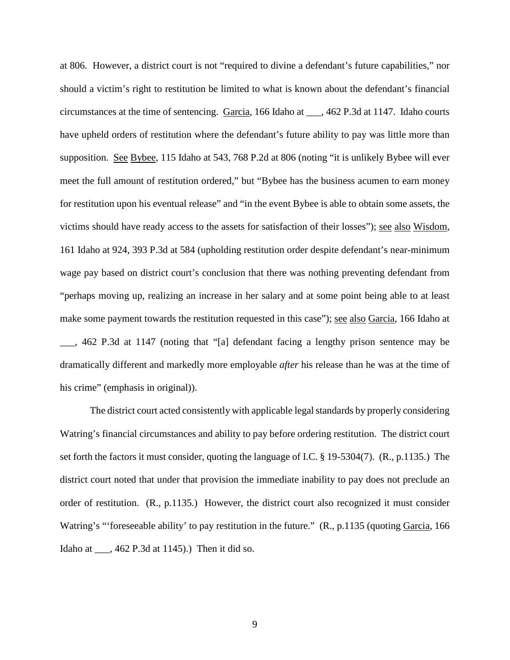at 806. However, a district court is not "required to divine a defendant's future capabilities," nor should a victim's right to restitution be limited to what is known about the defendant's financial circumstances at the time of sentencing. Garcia, 166 Idaho at \_\_\_, 462 P.3d at 1147. Idaho courts have upheld orders of restitution where the defendant's future ability to pay was little more than supposition. See Bybee, 115 Idaho at 543, 768 P.2d at 806 (noting "it is unlikely Bybee will ever meet the full amount of restitution ordered," but "Bybee has the business acumen to earn money for restitution upon his eventual release" and "in the event Bybee is able to obtain some assets, the victims should have ready access to the assets for satisfaction of their losses"); <u>see also Wisdom</u>, 161 Idaho at 924, 393 P.3d at 584 (upholding restitution order despite defendant's near-minimum wage pay based on district court's conclusion that there was nothing preventing defendant from "perhaps moving up, realizing an increase in her salary and at some point being able to at least make some payment towards the restitution requested in this case"); see also Garcia, 166 Idaho at \_\_\_, 462 P.3d at 1147 (noting that "[a] defendant facing a lengthy prison sentence may be dramatically different and markedly more employable *after* his release than he was at the time of his crime" (emphasis in original)).

The district court acted consistently with applicable legal standards by properly considering Watring's financial circumstances and ability to pay before ordering restitution. The district court set forth the factors it must consider, quoting the language of I.C. § 19-5304(7). (R., p.1135.) The district court noted that under that provision the immediate inability to pay does not preclude an order of restitution. (R., p.1135.) However, the district court also recognized it must consider Watring's "'foreseeable ability' to pay restitution in the future." (R., p.1135 (quoting Garcia, 166) Idaho at \_\_\_, 462 P.3d at 1145).) Then it did so.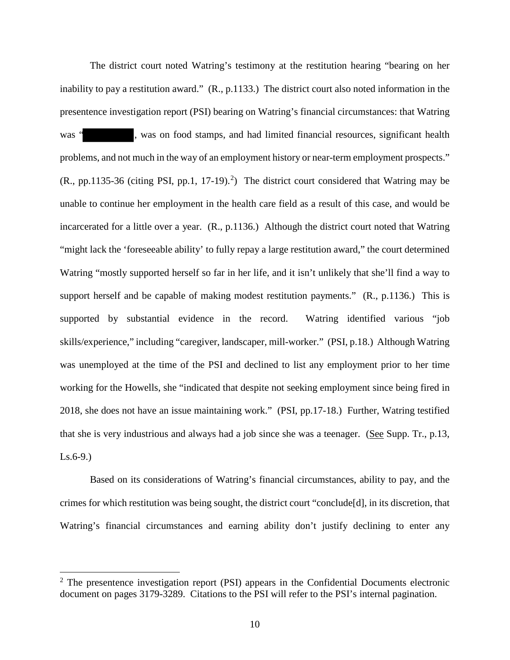The district court noted Watring's testimony at the restitution hearing "bearing on her inability to pay a restitution award." (R., p.1133.) The district court also noted information in the presentence investigation report (PSI) bearing on Watring's financial circumstances: that Watring was ", was on food stamps, and had limited financial resources, significant health problems, and not much in the way of an employment history or near-term employment prospects."  $(R., pp.1135-36)$  (citing PSI, pp.1, 17-19).<sup>[2](#page-13-0)</sup>) The district court considered that Watring may be unable to continue her employment in the health care field as a result of this case, and would be incarcerated for a little over a year. (R., p.1136.) Although the district court noted that Watring "might lack the 'foreseeable ability' to fully repay a large restitution award," the court determined Watring "mostly supported herself so far in her life, and it isn't unlikely that she'll find a way to support herself and be capable of making modest restitution payments." (R., p.1136.) This is supported by substantial evidence in the record. Watring identified various "job skills/experience," including "caregiver, landscaper, mill-worker." (PSI, p.18.) Although Watring was unemployed at the time of the PSI and declined to list any employment prior to her time working for the Howells, she "indicated that despite not seeking employment since being fired in 2018, she does not have an issue maintaining work." (PSI, pp.17-18.) Further, Watring testified that she is very industrious and always had a job since she was a teenager. (See Supp. Tr., p.13,  $Ls.6-9.$ )

Based on its considerations of Watring's financial circumstances, ability to pay, and the crimes for which restitution was being sought, the district court "conclude[d], in its discretion, that Watring's financial circumstances and earning ability don't justify declining to enter any

 $\overline{a}$ 

<span id="page-13-0"></span> $2$  The presentence investigation report (PSI) appears in the Confidential Documents electronic document on pages 3179-3289. Citations to the PSI will refer to the PSI's internal pagination.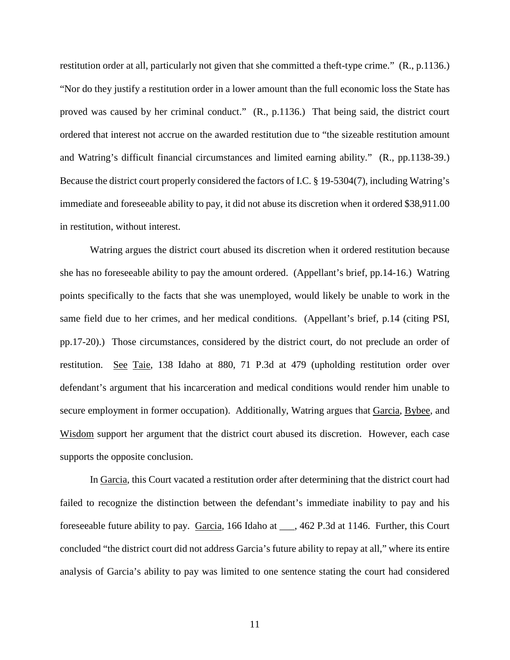restitution order at all, particularly not given that she committed a theft-type crime." (R., p.1136.) "Nor do they justify a restitution order in a lower amount than the full economic loss the State has proved was caused by her criminal conduct." (R., p.1136.) That being said, the district court ordered that interest not accrue on the awarded restitution due to "the sizeable restitution amount and Watring's difficult financial circumstances and limited earning ability." (R., pp.1138-39.) Because the district court properly considered the factors of I.C. § 19-5304(7), including Watring's immediate and foreseeable ability to pay, it did not abuse its discretion when it ordered \$38,911.00 in restitution, without interest.

Watring argues the district court abused its discretion when it ordered restitution because she has no foreseeable ability to pay the amount ordered. (Appellant's brief, pp.14-16.) Watring points specifically to the facts that she was unemployed, would likely be unable to work in the same field due to her crimes, and her medical conditions. (Appellant's brief, p.14 (citing PSI, pp.17-20).) Those circumstances, considered by the district court, do not preclude an order of restitution. See Taie, 138 Idaho at 880, 71 P.3d at 479 (upholding restitution order over defendant's argument that his incarceration and medical conditions would render him unable to secure employment in former occupation). Additionally, Watring argues that Garcia, Bybee, and Wisdom support her argument that the district court abused its discretion. However, each case supports the opposite conclusion.

In Garcia, this Court vacated a restitution order after determining that the district court had failed to recognize the distinction between the defendant's immediate inability to pay and his foreseeable future ability to pay. Garcia, 166 Idaho at \_\_\_, 462 P.3d at 1146. Further, this Court concluded "the district court did not address Garcia's future ability to repay at all," where its entire analysis of Garcia's ability to pay was limited to one sentence stating the court had considered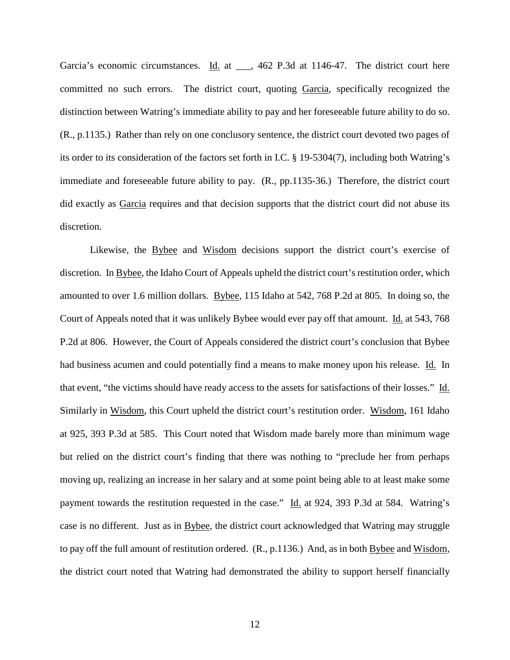Garcia's economic circumstances. Id. at \_\_\_, 462 P.3d at 1146-47. The district court here committed no such errors. The district court, quoting Garcia, specifically recognized the distinction between Watring's immediate ability to pay and her foreseeable future ability to do so. (R., p.1135.) Rather than rely on one conclusory sentence, the district court devoted two pages of its order to its consideration of the factors set forth in I.C. § 19-5304(7), including both Watring's immediate and foreseeable future ability to pay. (R., pp.1135-36.) Therefore, the district court did exactly as Garcia requires and that decision supports that the district court did not abuse its discretion.

Likewise, the **Bybee** and **Wisdom** decisions support the district court's exercise of discretion. In Bybee, the Idaho Court of Appeals upheld the district court's restitution order, which amounted to over 1.6 million dollars. Bybee, 115 Idaho at 542, 768 P.2d at 805. In doing so, the Court of Appeals noted that it was unlikely Bybee would ever pay off that amount. Id. at 543, 768 P.2d at 806. However, the Court of Appeals considered the district court's conclusion that Bybee had business acumen and could potentially find a means to make money upon his release. Id. In that event, "the victims should have ready access to the assets for satisfactions of their losses." Id. Similarly in Wisdom, this Court upheld the district court's restitution order. Wisdom, 161 Idaho at 925, 393 P.3d at 585. This Court noted that Wisdom made barely more than minimum wage but relied on the district court's finding that there was nothing to "preclude her from perhaps moving up, realizing an increase in her salary and at some point being able to at least make some payment towards the restitution requested in the case." Id. at 924, 393 P.3d at 584. Watring's case is no different. Just as in Bybee, the district court acknowledged that Watring may struggle to pay off the full amount of restitution ordered. (R., p.1136.) And, as in both Bybee and Wisdom, the district court noted that Watring had demonstrated the ability to support herself financially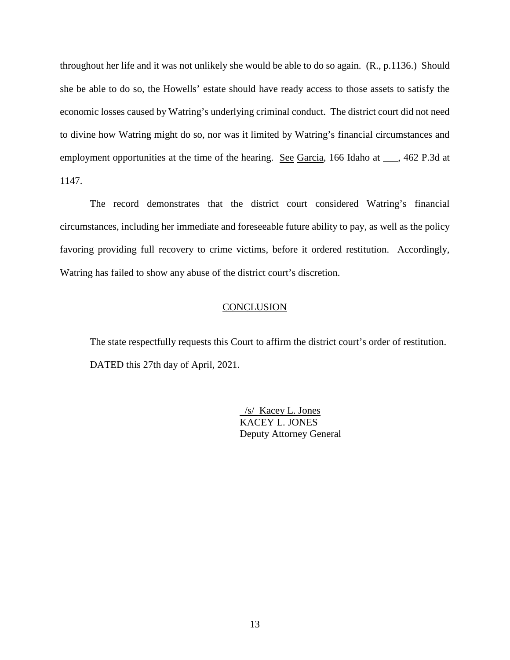throughout her life and it was not unlikely she would be able to do so again. (R., p.1136.) Should she be able to do so, the Howells' estate should have ready access to those assets to satisfy the economic losses caused by Watring's underlying criminal conduct. The district court did not need to divine how Watring might do so, nor was it limited by Watring's financial circumstances and employment opportunities at the time of the hearing. See Garcia, 166 Idaho at \_\_\_, 462 P.3d at 1147.

The record demonstrates that the district court considered Watring's financial circumstances, including her immediate and foreseeable future ability to pay, as well as the policy favoring providing full recovery to crime victims, before it ordered restitution. Accordingly, Watring has failed to show any abuse of the district court's discretion.

## **CONCLUSION**

The state respectfully requests this Court to affirm the district court's order of restitution. DATED this 27th day of April, 2021.

> /s/ Kacey L. Jones KACEY L. JONES Deputy Attorney General